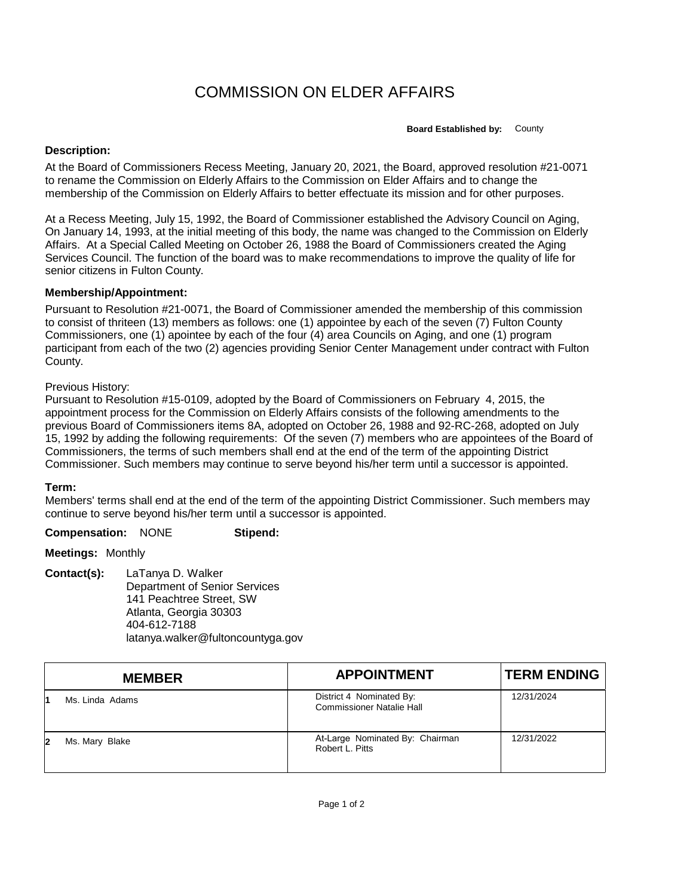# COMMISSION ON ELDER AFFAIRS

**Board Established by:** County

#### **Description:**

At the Board of Commissioners Recess Meeting, January 20, 2021, the Board, approved resolution #21-0071 to rename the Commission on Elderly Affairs to the Commission on Elder Affairs and to change the membership of the Commission on Elderly Affairs to better effectuate its mission and for other purposes.

At a Recess Meeting, July 15, 1992, the Board of Commissioner established the Advisory Council on Aging, On January 14, 1993, at the initial meeting of this body, the name was changed to the Commission on Elderly Affairs. At a Special Called Meeting on October 26, 1988 the Board of Commissioners created the Aging Services Council. The function of the board was to make recommendations to improve the quality of life for senior citizens in Fulton County.

## **Membership/Appointment:**

Pursuant to Resolution #21-0071, the Board of Commissioner amended the membership of this commission to consist of thriteen (13) members as follows: one (1) appointee by each of the seven (7) Fulton County Commissioners, one (1) apointee by each of the four (4) area Councils on Aging, and one (1) program participant from each of the two (2) agencies providing Senior Center Management under contract with Fulton County.

## Previous History:

Pursuant to Resolution #15-0109, adopted by the Board of Commissioners on February 4, 2015, the appointment process for the Commission on Elderly Affairs consists of the following amendments to the previous Board of Commissioners items 8A, adopted on October 26, 1988 and 92-RC-268, adopted on July 15, 1992 by adding the following requirements: Of the seven (7) members who are appointees of the Board of Commissioners, the terms of such members shall end at the end of the term of the appointing District Commissioner. Such members may continue to serve beyond his/her term until a successor is appointed.

#### **Term:**

Members' terms shall end at the end of the term of the appointing District Commissioner. Such members may continue to serve beyond his/her term until a successor is appointed.

**Compensation:** NONE **Stipend:**

**Meetings:** Monthly

**Contact(s):** LaTanya D. Walker Department of Senior Services 141 Peachtree Street, SW Atlanta, Georgia 30303 404-612-7188 latanya.walker@fultoncountyga.gov

|    | <b>MEMBER</b>   | <b>APPOINTMENT</b>                                           | <b>TERM ENDING</b> |
|----|-----------------|--------------------------------------------------------------|--------------------|
|    | Ms. Linda Adams | District 4 Nominated By:<br><b>Commissioner Natalie Hall</b> | 12/31/2024         |
| 12 | Ms. Mary Blake  | At-Large Nominated By: Chairman<br>Robert L. Pitts           | 12/31/2022         |